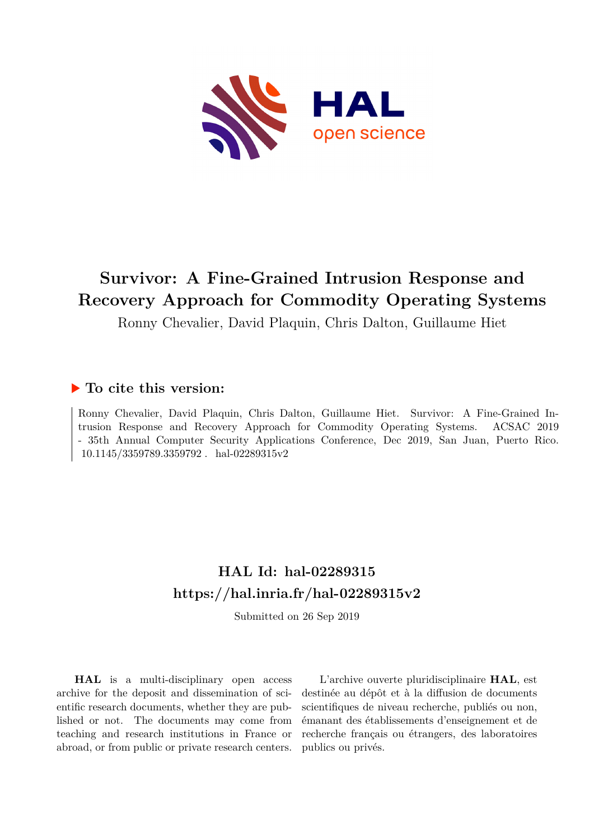

# **Survivor: A Fine-Grained Intrusion Response and Recovery Approach for Commodity Operating Systems**

Ronny Chevalier, David Plaquin, Chris Dalton, Guillaume Hiet

## **To cite this version:**

Ronny Chevalier, David Plaquin, Chris Dalton, Guillaume Hiet. Survivor: A Fine-Grained Intrusion Response and Recovery Approach for Commodity Operating Systems. ACSAC 2019 - 35th Annual Computer Security Applications Conference, Dec 2019, San Juan, Puerto Rico.  $10.1145/3359789.3359792$ . hal-02289315v2

## **HAL Id: hal-02289315 <https://hal.inria.fr/hal-02289315v2>**

Submitted on 26 Sep 2019

**HAL** is a multi-disciplinary open access archive for the deposit and dissemination of scientific research documents, whether they are published or not. The documents may come from teaching and research institutions in France or abroad, or from public or private research centers.

L'archive ouverte pluridisciplinaire **HAL**, est destinée au dépôt et à la diffusion de documents scientifiques de niveau recherche, publiés ou non, émanant des établissements d'enseignement et de recherche français ou étrangers, des laboratoires publics ou privés.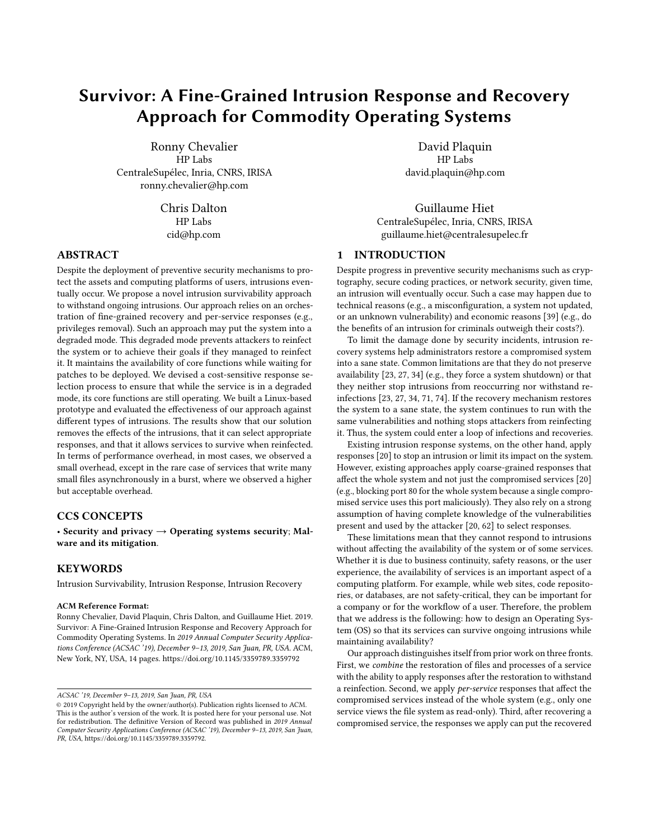## Survivor: A Fine-Grained Intrusion Response and Recovery Approach for Commodity Operating Systems

Ronny Chevalier HP Labs CentraleSupélec, Inria, CNRS, IRISA ronny.chevalier@hp.com

> Chris Dalton HP Labs cid@hp.com

## ABSTRACT

Despite the deployment of preventive security mechanisms to protect the assets and computing platforms of users, intrusions eventually occur. We propose a novel intrusion survivability approach to withstand ongoing intrusions. Our approach relies on an orchestration of fine-grained recovery and per-service responses (e.g., privileges removal). Such an approach may put the system into a degraded mode. This degraded mode prevents attackers to reinfect the system or to achieve their goals if they managed to reinfect it. It maintains the availability of core functions while waiting for patches to be deployed. We devised a cost-sensitive response selection process to ensure that while the service is in a degraded mode, its core functions are still operating. We built a Linux-based prototype and evaluated the effectiveness of our approach against different types of intrusions. The results show that our solution removes the effects of the intrusions, that it can select appropriate responses, and that it allows services to survive when reinfected. In terms of performance overhead, in most cases, we observed a small overhead, except in the rare case of services that write many small files asynchronously in a burst, where we observed a higher but acceptable overhead.

## CCS CONCEPTS

• Security and privacy  $\rightarrow$  Operating systems security; Malware and its mitigation.

## **KEYWORDS**

Intrusion Survivability, Intrusion Response, Intrusion Recovery

#### ACM Reference Format:

Ronny Chevalier, David Plaquin, Chris Dalton, and Guillaume Hiet. 2019. Survivor: A Fine-Grained Intrusion Response and Recovery Approach for Commodity Operating Systems. In 2019 Annual Computer Security Applications Conference (ACSAC '19), December 9–13, 2019, San Juan, PR, USA. ACM, New York, NY, USA, 14 pages.<https://doi.org/10.1145/3359789.3359792>

David Plaquin HP Labs david.plaquin@hp.com

Guillaume Hiet CentraleSupélec, Inria, CNRS, IRISA guillaume.hiet@centralesupelec.fr

## 1 INTRODUCTION

Despite progress in preventive security mechanisms such as cryptography, secure coding practices, or network security, given time, an intrusion will eventually occur. Such a case may happen due to technical reasons (e.g., a misconfiguration, a system not updated, or an unknown vulnerability) and economic reasons [39] (e.g., do the benefits of an intrusion for criminals outweigh their costs?).

To limit the damage done by security incidents, intrusion recovery systems help administrators restore a compromised system into a sane state. Common limitations are that they do not preserve availability [23, 27, 34] (e.g., they force a system shutdown) or that they neither stop intrusions from reoccurring nor withstand reinfections [23, 27, 34, 71, 74]. If the recovery mechanism restores the system to a sane state, the system continues to run with the same vulnerabilities and nothing stops attackers from reinfecting it. Thus, the system could enter a loop of infections and recoveries.

Existing intrusion response systems, on the other hand, apply responses [20] to stop an intrusion or limit its impact on the system. However, existing approaches apply coarse-grained responses that affect the whole system and not just the compromised services [20] (e.g., blocking port 80 for the whole system because a single compromised service uses this port maliciously). They also rely on a strong assumption of having complete knowledge of the vulnerabilities present and used by the attacker [20, 62] to select responses.

These limitations mean that they cannot respond to intrusions without affecting the availability of the system or of some services. Whether it is due to business continuity, safety reasons, or the user experience, the availability of services is an important aspect of a computing platform. For example, while web sites, code repositories, or databases, are not safety-critical, they can be important for a company or for the workflow of a user. Therefore, the problem that we address is the following: how to design an Operating System (OS) so that its services can survive ongoing intrusions while maintaining availability?

Our approach distinguishes itself from prior work on three fronts. First, we combine the restoration of files and processes of a service with the ability to apply responses after the restoration to withstand a reinfection. Second, we apply per-service responses that affect the compromised services instead of the whole system (e.g., only one service views the file system as read-only). Third, after recovering a compromised service, the responses we apply can put the recovered

ACSAC '19, December 9–13, 2019, San Juan, PR, USA

<sup>©</sup> 2019 Copyright held by the owner/author(s). Publication rights licensed to ACM. This is the author's version of the work. It is posted here for your personal use. Not for redistribution. The definitive Version of Record was published in 2019 Annual Computer Security Applications Conference (ACSAC '19), December 9–13, 2019, San Juan, PR, USA, [https://doi.org/10.1145/3359789.3359792.](https://doi.org/10.1145/3359789.3359792)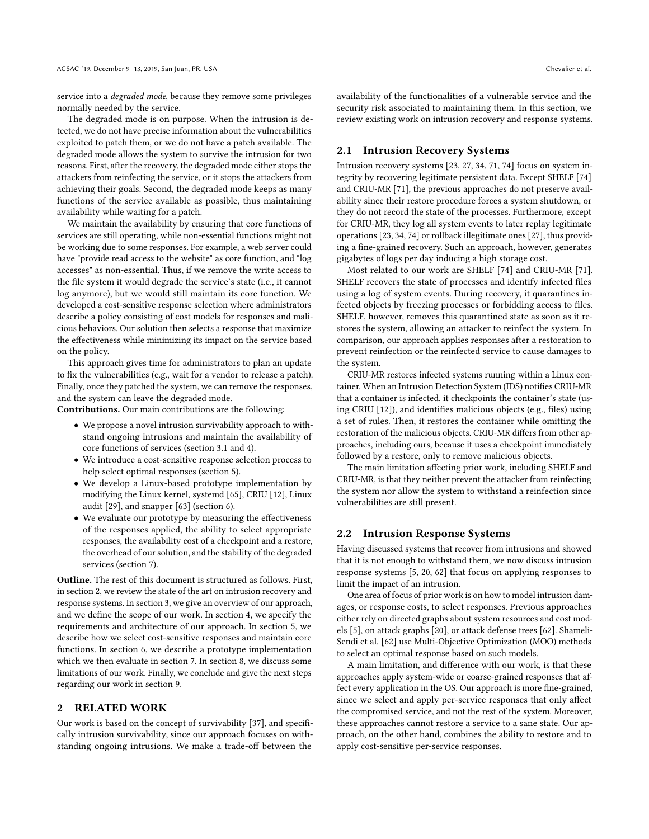service into a degraded mode, because they remove some privileges normally needed by the service.

The degraded mode is on purpose. When the intrusion is detected, we do not have precise information about the vulnerabilities exploited to patch them, or we do not have a patch available. The degraded mode allows the system to survive the intrusion for two reasons. First, after the recovery, the degraded mode either stops the attackers from reinfecting the service, or it stops the attackers from achieving their goals. Second, the degraded mode keeps as many functions of the service available as possible, thus maintaining availability while waiting for a patch.

We maintain the availability by ensuring that core functions of services are still operating, while non-essential functions might not be working due to some responses. For example, a web server could have "provide read access to the website" as core function, and "log accesses" as non-essential. Thus, if we remove the write access to the file system it would degrade the service's state (i.e., it cannot log anymore), but we would still maintain its core function. We developed a cost-sensitive response selection where administrators describe a policy consisting of cost models for responses and malicious behaviors. Our solution then selects a response that maximize the effectiveness while minimizing its impact on the service based on the policy.

This approach gives time for administrators to plan an update to fix the vulnerabilities (e.g., wait for a vendor to release a patch). Finally, once they patched the system, we can remove the responses, and the system can leave the degraded mode.

Contributions. Our main contributions are the following:

- We propose a novel intrusion survivability approach to withstand ongoing intrusions and maintain the availability of core functions of services (section 3.1 and 4).
- We introduce a cost-sensitive response selection process to help select optimal responses (section 5).
- We develop a Linux-based prototype implementation by modifying the Linux kernel, systemd [65], CRIU [12], Linux audit [29], and snapper [63] (section 6).
- We evaluate our prototype by measuring the effectiveness of the responses applied, the ability to select appropriate responses, the availability cost of a checkpoint and a restore, the overhead of our solution, and the stability of the degraded services (section 7).

Outline. The rest of this document is structured as follows. First, in section 2, we review the state of the art on intrusion recovery and response systems. In section 3, we give an overview of our approach, and we define the scope of our work. In section 4, we specify the requirements and architecture of our approach. In section 5, we describe how we select cost-sensitive responses and maintain core functions. In section 6, we describe a prototype implementation which we then evaluate in section 7. In section 8, we discuss some limitations of our work. Finally, we conclude and give the next steps regarding our work in section 9.

## 2 RELATED WORK

Our work is based on the concept of survivability [37], and specifically intrusion survivability, since our approach focuses on withstanding ongoing intrusions. We make a trade-off between the

availability of the functionalities of a vulnerable service and the security risk associated to maintaining them. In this section, we review existing work on intrusion recovery and response systems.

#### 2.1 Intrusion Recovery Systems

Intrusion recovery systems [23, 27, 34, 71, 74] focus on system integrity by recovering legitimate persistent data. Except SHELF [74] and CRIU-MR [71], the previous approaches do not preserve availability since their restore procedure forces a system shutdown, or they do not record the state of the processes. Furthermore, except for CRIU-MR, they log all system events to later replay legitimate operations [23, 34, 74] or rollback illegitimate ones [27], thus providing a fine-grained recovery. Such an approach, however, generates gigabytes of logs per day inducing a high storage cost.

Most related to our work are SHELF [74] and CRIU-MR [71]. SHELF recovers the state of processes and identify infected files using a log of system events. During recovery, it quarantines infected objects by freezing processes or forbidding access to files. SHELF, however, removes this quarantined state as soon as it restores the system, allowing an attacker to reinfect the system. In comparison, our approach applies responses after a restoration to prevent reinfection or the reinfected service to cause damages to the system.

CRIU-MR restores infected systems running within a Linux container. When an Intrusion Detection System (IDS) notifies CRIU-MR that a container is infected, it checkpoints the container's state (using CRIU [12]), and identifies malicious objects (e.g., files) using a set of rules. Then, it restores the container while omitting the restoration of the malicious objects. CRIU-MR differs from other approaches, including ours, because it uses a checkpoint immediately followed by a restore, only to remove malicious objects.

The main limitation affecting prior work, including SHELF and CRIU-MR, is that they neither prevent the attacker from reinfecting the system nor allow the system to withstand a reinfection since vulnerabilities are still present.

#### 2.2 Intrusion Response Systems

Having discussed systems that recover from intrusions and showed that it is not enough to withstand them, we now discuss intrusion response systems [5, 20, 62] that focus on applying responses to limit the impact of an intrusion.

One area of focus of prior work is on how to model intrusion damages, or response costs, to select responses. Previous approaches either rely on directed graphs about system resources and cost models [5], on attack graphs [20], or attack defense trees [62]. Shameli-Sendi et al. [62] use Multi-Objective Optimization (MOO) methods to select an optimal response based on such models.

A main limitation, and difference with our work, is that these approaches apply system-wide or coarse-grained responses that affect every application in the OS. Our approach is more fine-grained, since we select and apply per-service responses that only affect the compromised service, and not the rest of the system. Moreover, these approaches cannot restore a service to a sane state. Our approach, on the other hand, combines the ability to restore and to apply cost-sensitive per-service responses.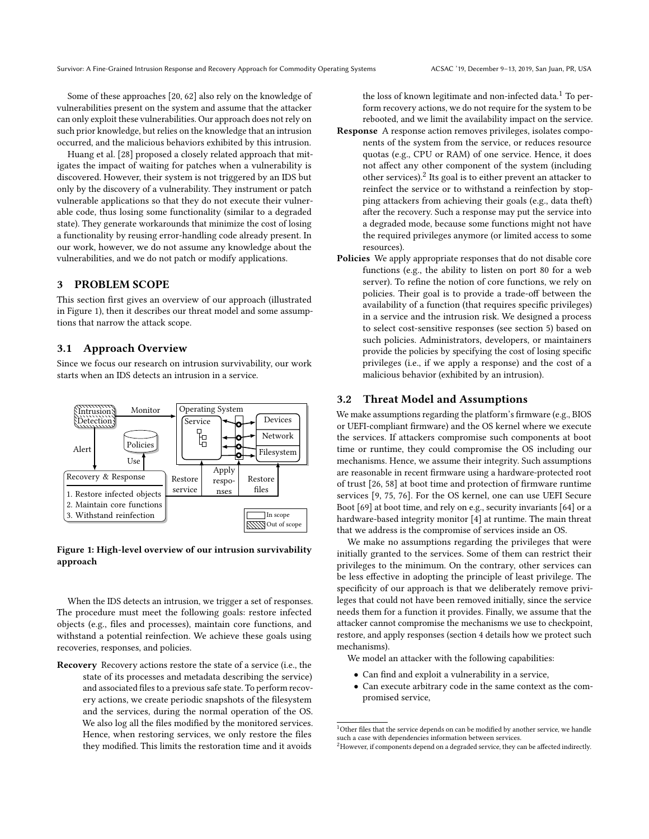Some of these approaches [20, 62] also rely on the knowledge of vulnerabilities present on the system and assume that the attacker can only exploit these vulnerabilities. Our approach does not rely on such prior knowledge, but relies on the knowledge that an intrusion occurred, and the malicious behaviors exhibited by this intrusion.

Huang et al. [28] proposed a closely related approach that mitigates the impact of waiting for patches when a vulnerability is discovered. However, their system is not triggered by an IDS but only by the discovery of a vulnerability. They instrument or patch vulnerable applications so that they do not execute their vulnerable code, thus losing some functionality (similar to a degraded state). They generate workarounds that minimize the cost of losing a functionality by reusing error-handling code already present. In our work, however, we do not assume any knowledge about the vulnerabilities, and we do not patch or modify applications.

## 3 PROBLEM SCOPE

This section first gives an overview of our approach (illustrated in Figure 1), then it describes our threat model and some assumptions that narrow the attack scope.

#### 3.1 Approach Overview

Since we focus our research on intrusion survivability, our work starts when an IDS detects an intrusion in a service.



Figure 1: High-level overview of our intrusion survivability approach

When the IDS detects an intrusion, we trigger a set of responses. The procedure must meet the following goals: restore infected objects (e.g., files and processes), maintain core functions, and withstand a potential reinfection. We achieve these goals using recoveries, responses, and policies.

Recovery Recovery actions restore the state of a service (i.e., the state of its processes and metadata describing the service) and associated files to a previous safe state. To perform recovery actions, we create periodic snapshots of the filesystem and the services, during the normal operation of the OS. We also log all the files modified by the monitored services. Hence, when restoring services, we only restore the files they modified. This limits the restoration time and it avoids

the loss of known legitimate and non-infected data.<sup>1</sup> To perform recovery actions, we do not require for the system to be rebooted, and we limit the availability impact on the service.

- Response A response action removes privileges, isolates components of the system from the service, or reduces resource quotas (e.g., CPU or RAM) of one service. Hence, it does not affect any other component of the system (including other services).<sup>2</sup> Its goal is to either prevent an attacker to reinfect the service or to withstand a reinfection by stopping attackers from achieving their goals (e.g., data theft) after the recovery. Such a response may put the service into a degraded mode, because some functions might not have the required privileges anymore (or limited access to some resources).
- Policies We apply appropriate responses that do not disable core functions (e.g., the ability to listen on port 80 for a web server). To refine the notion of core functions, we rely on policies. Their goal is to provide a trade-off between the availability of a function (that requires specific privileges) in a service and the intrusion risk. We designed a process to select cost-sensitive responses (see section 5) based on such policies. Administrators, developers, or maintainers provide the policies by specifying the cost of losing specific privileges (i.e., if we apply a response) and the cost of a malicious behavior (exhibited by an intrusion).

## 3.2 Threat Model and Assumptions

We make assumptions regarding the platform's firmware (e.g., BIOS or UEFI-compliant firmware) and the OS kernel where we execute the services. If attackers compromise such components at boot time or runtime, they could compromise the OS including our mechanisms. Hence, we assume their integrity. Such assumptions are reasonable in recent firmware using a hardware-protected root of trust [26, 58] at boot time and protection of firmware runtime services [9, 75, 76]. For the OS kernel, one can use UEFI Secure Boot [69] at boot time, and rely on e.g., security invariants [64] or a hardware-based integrity monitor [4] at runtime. The main threat that we address is the compromise of services inside an OS.

We make no assumptions regarding the privileges that were initially granted to the services. Some of them can restrict their privileges to the minimum. On the contrary, other services can be less effective in adopting the principle of least privilege. The specificity of our approach is that we deliberately remove privileges that could not have been removed initially, since the service needs them for a function it provides. Finally, we assume that the attacker cannot compromise the mechanisms we use to checkpoint, restore, and apply responses (section 4 details how we protect such mechanisms).

We model an attacker with the following capabilities:

- Can find and exploit a vulnerability in a service,
- Can execute arbitrary code in the same context as the compromised service,

 $^{\rm 1}$  Other files that the service depends on can be modified by another service, we handle such a case with dependencies information between services.

<sup>&</sup>lt;sup>2</sup>However, if components depend on a degraded service, they can be affected indirectly.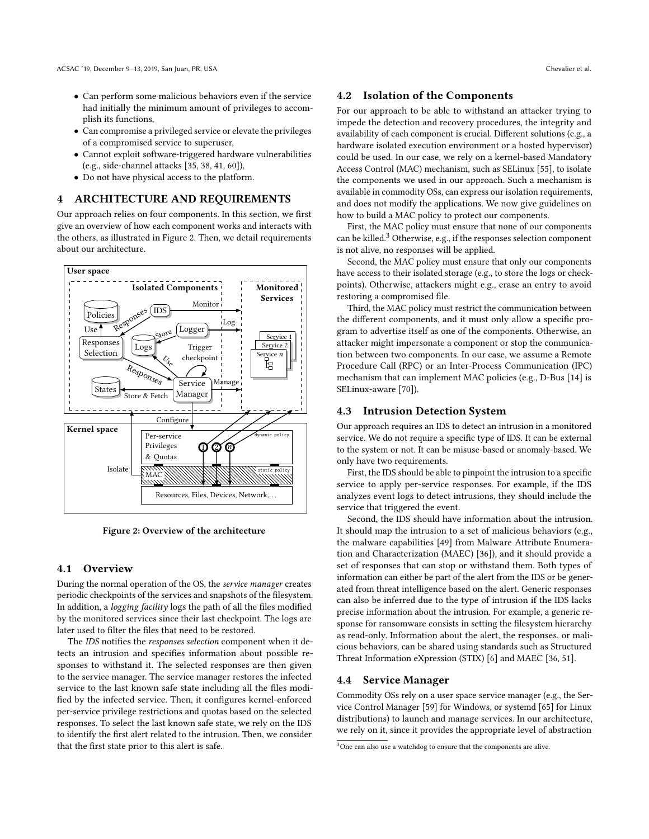- Can perform some malicious behaviors even if the service had initially the minimum amount of privileges to accomplish its functions,
- Can compromise a privileged service or elevate the privileges of a compromised service to superuser,
- Cannot exploit software-triggered hardware vulnerabilities (e.g., side-channel attacks [35, 38, 41, 60]),
- Do not have physical access to the platform.

## 4 ARCHITECTURE AND REQUIREMENTS

Our approach relies on four components. In this section, we first give an overview of how each component works and interacts with the others, as illustrated in Figure 2. Then, we detail requirements about our architecture.



Figure 2: Overview of the architecture

### 4.1 Overview

During the normal operation of the OS, the service manager creates periodic checkpoints of the services and snapshots of the filesystem. In addition, a logging facility logs the path of all the files modified by the monitored services since their last checkpoint. The logs are later used to filter the files that need to be restored.

The IDS notifies the responses selection component when it detects an intrusion and specifies information about possible responses to withstand it. The selected responses are then given to the service manager. The service manager restores the infected service to the last known safe state including all the files modified by the infected service. Then, it configures kernel-enforced per-service privilege restrictions and quotas based on the selected responses. To select the last known safe state, we rely on the IDS to identify the first alert related to the intrusion. Then, we consider that the first state prior to this alert is safe.

## 4.2 Isolation of the Components

For our approach to be able to withstand an attacker trying to impede the detection and recovery procedures, the integrity and availability of each component is crucial. Different solutions (e.g., a hardware isolated execution environment or a hosted hypervisor) could be used. In our case, we rely on a kernel-based Mandatory Access Control (MAC) mechanism, such as SELinux [55], to isolate the components we used in our approach. Such a mechanism is available in commodity OSs, can express our isolation requirements, and does not modify the applications. We now give guidelines on how to build a MAC policy to protect our components.

First, the MAC policy must ensure that none of our components can be killed. $3$  Otherwise, e.g., if the responses selection component is not alive, no responses will be applied.

Second, the MAC policy must ensure that only our components have access to their isolated storage (e.g., to store the logs or checkpoints). Otherwise, attackers might e.g., erase an entry to avoid restoring a compromised file.

Third, the MAC policy must restrict the communication between the different components, and it must only allow a specific program to advertise itself as one of the components. Otherwise, an attacker might impersonate a component or stop the communication between two components. In our case, we assume a Remote Procedure Call (RPC) or an Inter-Process Communication (IPC) mechanism that can implement MAC policies (e.g., D-Bus [14] is SELinux-aware [70]).

#### 4.3 Intrusion Detection System

Our approach requires an IDS to detect an intrusion in a monitored service. We do not require a specific type of IDS. It can be external to the system or not. It can be misuse-based or anomaly-based. We only have two requirements.

First, the IDS should be able to pinpoint the intrusion to a specific service to apply per-service responses. For example, if the IDS analyzes event logs to detect intrusions, they should include the service that triggered the event.

Second, the IDS should have information about the intrusion. It should map the intrusion to a set of malicious behaviors (e.g., the malware capabilities [49] from Malware Attribute Enumeration and Characterization (MAEC) [36]), and it should provide a set of responses that can stop or withstand them. Both types of information can either be part of the alert from the IDS or be generated from threat intelligence based on the alert. Generic responses can also be inferred due to the type of intrusion if the IDS lacks precise information about the intrusion. For example, a generic response for ransomware consists in setting the filesystem hierarchy as read-only. Information about the alert, the responses, or malicious behaviors, can be shared using standards such as Structured Threat Information eXpression (STIX) [6] and MAEC [36, 51].

## 4.4 Service Manager

Commodity OSs rely on a user space service manager (e.g., the Service Control Manager [59] for Windows, or systemd [65] for Linux distributions) to launch and manage services. In our architecture, we rely on it, since it provides the appropriate level of abstraction

<sup>&</sup>lt;sup>3</sup>One can also use a watchdog to ensure that the components are alive.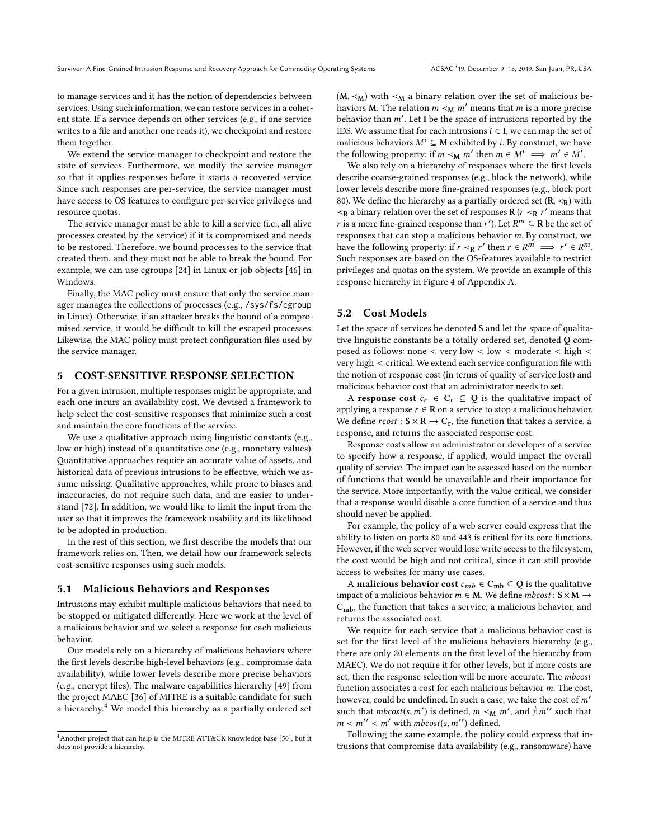to manage services and it has the notion of dependencies between services. Using such information, we can restore services in a coherent state. If a service depends on other services (e.g., if one service writes to a file and another one reads it), we checkpoint and restore them together.

We extend the service manager to checkpoint and restore the state of services. Furthermore, we modify the service manager so that it applies responses before it starts a recovered service. Since such responses are per-service, the service manager must have access to OS features to configure per-service privileges and resource quotas.

The service manager must be able to kill a service (i.e., all alive processes created by the service) if it is compromised and needs to be restored. Therefore, we bound processes to the service that created them, and they must not be able to break the bound. For example, we can use cgroups [24] in Linux or job objects [46] in Windows.

Finally, the MAC policy must ensure that only the service manager manages the collections of processes (e.g., /sys/fs/cgroup in Linux). Otherwise, if an attacker breaks the bound of a compromised service, it would be difficult to kill the escaped processes. Likewise, the MAC policy must protect configuration files used by the service manager.

## 5 COST-SENSITIVE RESPONSE SELECTION

For a given intrusion, multiple responses might be appropriate, and each one incurs an availability cost. We devised a framework to help select the cost-sensitive responses that minimize such a cost and maintain the core functions of the service.

We use a qualitative approach using linguistic constants (e.g., low or high) instead of a quantitative one (e.g., monetary values). Quantitative approaches require an accurate value of assets, and historical data of previous intrusions to be effective, which we assume missing. Qualitative approaches, while prone to biases and inaccuracies, do not require such data, and are easier to understand [72]. In addition, we would like to limit the input from the user so that it improves the framework usability and its likelihood to be adopted in production.

In the rest of this section, we first describe the models that our framework relies on. Then, we detail how our framework selects cost-sensitive responses using such models.

#### 5.1 Malicious Behaviors and Responses

Intrusions may exhibit multiple malicious behaviors that need to be stopped or mitigated differently. Here we work at the level of a malicious behavior and we select a response for each malicious behavior.

Our models rely on a hierarchy of malicious behaviors where the first levels describe high-level behaviors (e.g., compromise data availability), while lower levels describe more precise behaviors (e.g., encrypt files). The malware capabilities hierarchy [49] from the project MAEC [36] of MITRE is a suitable candidate for such a hierarchy.4 We model this hierarchy as a partially ordered set (M,  $\leq$ <sub>M</sub>) with  $\leq$ <sub>M</sub> a binary relation over the set of malicious behaviors **M**. The relation  $m \prec_M m'$  means that m is a more precise behavior than  $m'$ . Let I be the space of intrusions reported by the IDS. We assume that for each intrusions  $i \in I$ , we can map the set of malicious behaviors  $M^i \subseteq M$  exhibited by *i*. By construct, we have the following property: if  $m <_M m'$  then  $m \in M^i \implies m' \in M^i$ .

We also rely on a hierarchy of responses where the first levels describe coarse-grained responses (e.g., block the network), while lower levels describe more fine-grained responses (e.g., block port 80). We define the hierarchy as a partially ordered set  $(R, \prec_R)$  with ≺R a binary relation over the set of responses R ( $r$  ≺R  $r'$  means that r is a more fine-grained response than  $r'$ ). Let  $R^m \subseteq \mathbb{R}$  be the set of responses that can stop a malicious behavior m. By construct, we have the following property: if  $r \prec_R r'$  then  $r \in R^m \implies r' \in R^m$ . Such responses are based on the OS-features available to restrict privileges and quotas on the system. We provide an example of this response hierarchy in Figure 4 of Appendix A.

## 5.2 Cost Models

Let the space of services be denoted S and let the space of qualitative linguistic constants be a totally ordered set, denoted Q composed as follows: none  $\lt$  very low  $\lt$  low  $\lt$  moderate  $\lt$  high  $\lt$ very high < critical. We extend each service configuration file with the notion of response cost (in terms of quality of service lost) and malicious behavior cost that an administrator needs to set.

A response cost  $c_r \in C_r \subseteq Q$  is the qualitative impact of applying a response  $r \in \mathbb{R}$  on a service to stop a malicious behavior. We define  $\text{cost} : S \times R \rightarrow C_r$ , the function that takes a service, a response, and returns the associated response cost.

Response costs allow an administrator or developer of a service to specify how a response, if applied, would impact the overall quality of service. The impact can be assessed based on the number of functions that would be unavailable and their importance for the service. More importantly, with the value critical, we consider that a response would disable a core function of a service and thus should never be applied.

For example, the policy of a web server could express that the ability to listen on ports 80 and 443 is critical for its core functions. However, if the web server would lose write access to the filesystem, the cost would be high and not critical, since it can still provide access to websites for many use cases.

A **malicious behavior cost**  $c_{mb} \in C_{mb} \subseteq Q$  is the qualitative impact of a malicious behavior  $m \in M$ . We define  $mbcost: S \times M \rightarrow$  $C<sub>mb</sub>$ , the function that takes a service, a malicious behavior, and returns the associated cost.

We require for each service that a malicious behavior cost is set for the first level of the malicious behaviors hierarchy (e.g., there are only 20 elements on the first level of the hierarchy from MAEC). We do not require it for other levels, but if more costs are set, then the response selection will be more accurate. The mbcost function associates a cost for each malicious behavior m. The cost, however, could be undefined. In such a case, we take the cost of m′ such that  $mbcost(s, m')$  is defined,  $m \le M m'$ , and  $\frac{4}{7} m''$  such that  $m \le m'' \le m'$  with  $mbcost(s, m'')$  defined  $m < m'' < m'$  with  $mbcost(s, m'')$  defined.

Following the same example, the policy could express that intrusions that compromise data availability (e.g., ransomware) have

<sup>4</sup>Another project that can help is the MITRE ATT&CK knowledge base [50], but it does not provide a hierarchy.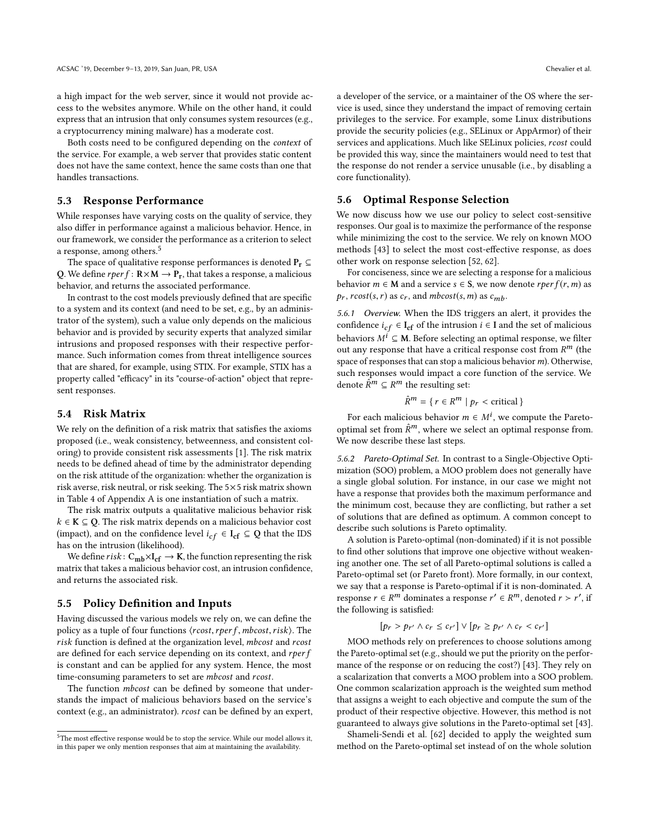a high impact for the web server, since it would not provide access to the websites anymore. While on the other hand, it could express that an intrusion that only consumes system resources (e.g., a cryptocurrency mining malware) has a moderate cost.

Both costs need to be configured depending on the context of the service. For example, a web server that provides static content does not have the same context, hence the same costs than one that handles transactions.

### 5.3 Response Performance

While responses have varying costs on the quality of service, they also differ in performance against a malicious behavior. Hence, in our framework, we consider the performance as a criterion to select a response, among others.5

The space of qualitative response performances is denoted  $P_r \subseteq$ Q. We define  $rperf : \mathbb{R} \times \mathbb{M} \to \mathbb{P}_r$ , that takes a response, a malicious behavior, and returns the associated performance.

In contrast to the cost models previously defined that are specific to a system and its context (and need to be set, e.g., by an administrator of the system), such a value only depends on the malicious behavior and is provided by security experts that analyzed similar intrusions and proposed responses with their respective performance. Such information comes from threat intelligence sources that are shared, for example, using STIX. For example, STIX has a property called "efficacy" in its "course-of-action" object that represent responses.

## 5.4 Risk Matrix

We rely on the definition of a risk matrix that satisfies the axioms proposed (i.e., weak consistency, betweenness, and consistent coloring) to provide consistent risk assessments [1]. The risk matrix needs to be defined ahead of time by the administrator depending on the risk attitude of the organization: whether the organization is risk averse, risk neutral, or risk seeking. The 5×5 risk matrix shown in Table 4 of Appendix A is one instantiation of such a matrix.

The risk matrix outputs a qualitative malicious behavior risk  $k \in K \subseteq Q$ . The risk matrix depends on a malicious behavior cost (impact), and on the confidence level  $i_{cf} \in I_{cf} \subseteq Q$  that the IDS has on the intrusion (likelihood).

We define  $risk\colon C_{mb}\times I_{cf}\to K$ , the function representing the risk matrix that takes a malicious behavior cost, an intrusion confidence, and returns the associated risk.

#### 5.5 Policy Definition and Inputs

Having discussed the various models we rely on, we can define the policy as a tuple of four functions  $\langle \text{cost}, \text{rper f}, \text{mbcost}, \text{risk} \rangle$ . The risk function is defined at the organization level, mbcost and rcost are defined for each service depending on its context, and rper f is constant and can be applied for any system. Hence, the most time-consuming parameters to set are *mbcost* and *rcost*.

The function *mbcost* can be defined by someone that understands the impact of malicious behaviors based on the service's context (e.g., an administrator). *rcost* can be defined by an expert, a developer of the service, or a maintainer of the OS where the service is used, since they understand the impact of removing certain privileges to the service. For example, some Linux distributions provide the security policies (e.g., SELinux or AppArmor) of their services and applications. Much like SELinux policies, rcost could be provided this way, since the maintainers would need to test that the response do not render a service unusable (i.e., by disabling a core functionality).

### 5.6 Optimal Response Selection

We now discuss how we use our policy to select cost-sensitive responses. Our goal is to maximize the performance of the response while minimizing the cost to the service. We rely on known MOO methods [43] to select the most cost-effective response, as does other work on response selection [52, 62].

For conciseness, since we are selecting a response for a malicious behavior  $m \in M$  and a service  $s \in S$ , we now denote  $rperf(r, m)$  as  $p_r$ ,  $rcost(s, r)$  as  $c_r$ , and  $mbcost(s, m)$  as  $c_{mb}$ .

5.6.1 Overview. When the IDS triggers an alert, it provides the confidence  $i_{cf} \in I_{cf}$  of the intrusion  $i \in I$  and the set of malicious behaviors  $M^i \subseteq M$ . Before selecting an optimal response, we filter out any response that have a critical response cost from  $R^m$  (the space of responses that can stop a malicious behavior  $m$ ). Otherwise, such responses would impact a core function of the service. We denote  $\hat{R}^m \subseteq R^m$  the resulting set:

$$
\hat{R}^m = \{ r \in R^m \mid p_r < \text{critical} \}
$$

For each malicious behavior  $m \in M^i$ , we compute the Paretooptimal set from  $\hat{R}^m$ , where we select an optimal response from. We now describe these last steps.

5.6.2 Pareto-Optimal Set. In contrast to a Single-Objective Optimization (SOO) problem, a MOO problem does not generally have a single global solution. For instance, in our case we might not have a response that provides both the maximum performance and the minimum cost, because they are conflicting, but rather a set of solutions that are defined as optimum. A common concept to describe such solutions is Pareto optimality.

A solution is Pareto-optimal (non-dominated) if it is not possible to find other solutions that improve one objective without weakening another one. The set of all Pareto-optimal solutions is called a Pareto-optimal set (or Pareto front). More formally, in our context, we say that a response is Pareto-optimal if it is non-dominated. A response  $r \in R^m$  dominates a response  $r' \in R^m$ , denoted  $r > r'$ , if the following is satisfied:

$$
[p_r > p_{r'} \wedge c_r \leq c_{r'}] \vee [p_r \geq p_{r'} \wedge c_r < c_{r'}]
$$

MOO methods rely on preferences to choose solutions among the Pareto-optimal set (e.g., should we put the priority on the performance of the response or on reducing the cost?) [43]. They rely on a scalarization that converts a MOO problem into a SOO problem. One common scalarization approach is the weighted sum method that assigns a weight to each objective and compute the sum of the product of their respective objective. However, this method is not guaranteed to always give solutions in the Pareto-optimal set [43].

Shameli-Sendi et al. [62] decided to apply the weighted sum method on the Pareto-optimal set instead of on the whole solution

<sup>5</sup>The most effective response would be to stop the service. While our model allows it, in this paper we only mention responses that aim at maintaining the availability.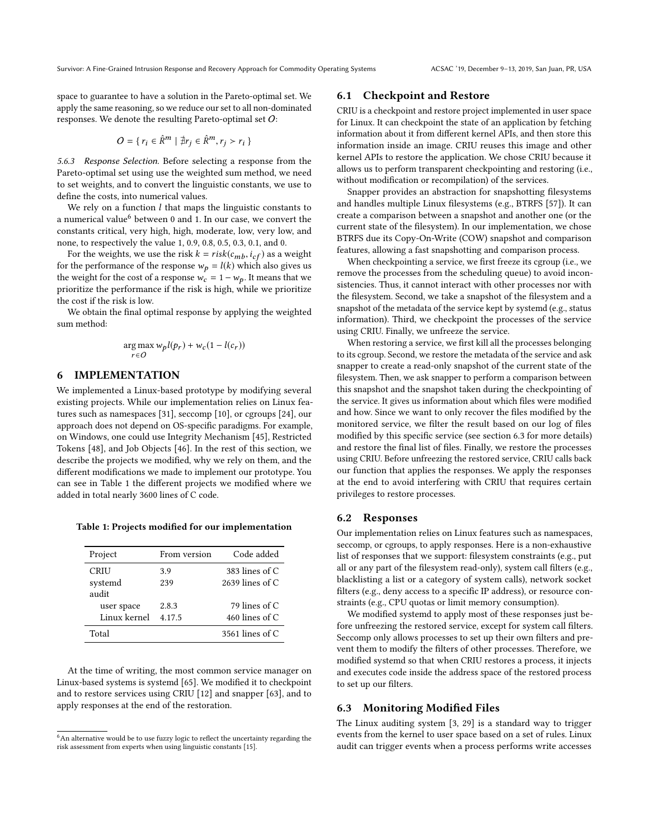Survivor: A Fine-Grained Intrusion Response and Recovery Approach for Commodity Operating Systems ACSAC '19, December 9–13, 2019, San Juan, PR, USA

space to guarantee to have a solution in the Pareto-optimal set. We apply the same reasoning, so we reduce our set to all non-dominated responses. We denote the resulting Pareto-optimal set O:

$$
O = \{ r_i \in \hat{R}^m \mid \nexists r_j \in \hat{R}^m, r_j > r_i \}
$$

5.6.3 Response Selection. Before selecting a response from the Pareto-optimal set using use the weighted sum method, we need to set weights, and to convert the linguistic constants, we use to define the costs, into numerical values.

We rely on a function  $l$  that maps the linguistic constants to a numerical value<sup>6</sup> between 0 and 1. In our case, we convert the constants critical, very high, high, moderate, low, very low, and none, to respectively the value 1, 0.9, 0.8, 0.5, 0.3, 0.1, and 0.

For the weights, we use the risk  $k = risk(c_{mb}, i_{cf})$  as a weight for the performance of the response  $w_p = l(k)$  which also gives us the weight for the cost of a response  $w_c = 1 - w_p$ . It means that we prioritize the performance if the risk is high, while we prioritize the cost if the risk is low.

We obtain the final optimal response by applying the weighted sum method:

$$
\mathop{\arg\max}_{r \in O} w_p l(p_r) + w_c (1 - l(c_r))
$$

## 6 IMPLEMENTATION

We implemented a Linux-based prototype by modifying several existing projects. While our implementation relies on Linux features such as namespaces [31], seccomp [10], or cgroups [24], our approach does not depend on OS-specific paradigms. For example, on Windows, one could use Integrity Mechanism [45], Restricted Tokens [48], and Job Objects [46]. In the rest of this section, we describe the projects we modified, why we rely on them, and the different modifications we made to implement our prototype. You can see in Table 1 the different projects we modified where we added in total nearly 3600 lines of C code.

Table 1: Projects modified for our implementation

| Project      | From version | Code added        |
|--------------|--------------|-------------------|
| CRIU         | 3.9          | 383 lines of $C$  |
| systemd      | 239          | 2639 lines of $C$ |
| audit        |              |                   |
| user space   | 2.8.3        | 79 lines of $C$   |
| Linux kernel | 4.17.5       | 460 lines of $C$  |
| Total        |              | 3561 lines of $C$ |
|              |              |                   |

At the time of writing, the most common service manager on Linux-based systems is systemd [65]. We modified it to checkpoint and to restore services using CRIU [12] and snapper [63], and to apply responses at the end of the restoration.

## 6.1 Checkpoint and Restore

CRIU is a checkpoint and restore project implemented in user space for Linux. It can checkpoint the state of an application by fetching information about it from different kernel APIs, and then store this information inside an image. CRIU reuses this image and other kernel APIs to restore the application. We chose CRIU because it allows us to perform transparent checkpointing and restoring (i.e., without modification or recompilation) of the services.

Snapper provides an abstraction for snapshotting filesystems and handles multiple Linux filesystems (e.g., BTRFS [57]). It can create a comparison between a snapshot and another one (or the current state of the filesystem). In our implementation, we chose BTRFS due its Copy-On-Write (COW) snapshot and comparison features, allowing a fast snapshotting and comparison process.

When checkpointing a service, we first freeze its cgroup (i.e., we remove the processes from the scheduling queue) to avoid inconsistencies. Thus, it cannot interact with other processes nor with the filesystem. Second, we take a snapshot of the filesystem and a snapshot of the metadata of the service kept by systemd (e.g., status information). Third, we checkpoint the processes of the service using CRIU. Finally, we unfreeze the service.

When restoring a service, we first kill all the processes belonging to its cgroup. Second, we restore the metadata of the service and ask snapper to create a read-only snapshot of the current state of the filesystem. Then, we ask snapper to perform a comparison between this snapshot and the snapshot taken during the checkpointing of the service. It gives us information about which files were modified and how. Since we want to only recover the files modified by the monitored service, we filter the result based on our log of files modified by this specific service (see section 6.3 for more details) and restore the final list of files. Finally, we restore the processes using CRIU. Before unfreezing the restored service, CRIU calls back our function that applies the responses. We apply the responses at the end to avoid interfering with CRIU that requires certain privileges to restore processes.

#### 6.2 Responses

Our implementation relies on Linux features such as namespaces, seccomp, or cgroups, to apply responses. Here is a non-exhaustive list of responses that we support: filesystem constraints (e.g., put all or any part of the filesystem read-only), system call filters (e.g., blacklisting a list or a category of system calls), network socket filters (e.g., deny access to a specific IP address), or resource constraints (e.g., CPU quotas or limit memory consumption).

We modified systemd to apply most of these responses just before unfreezing the restored service, except for system call filters. Seccomp only allows processes to set up their own filters and prevent them to modify the filters of other processes. Therefore, we modified systemd so that when CRIU restores a process, it injects and executes code inside the address space of the restored process to set up our filters.

## 6.3 Monitoring Modified Files

The Linux auditing system [3, 29] is a standard way to trigger events from the kernel to user space based on a set of rules. Linux audit can trigger events when a process performs write accesses

<sup>&</sup>lt;sup>6</sup>An alternative would be to use fuzzy logic to reflect the uncertainty regarding the risk assessment from experts when using linguistic constants [15].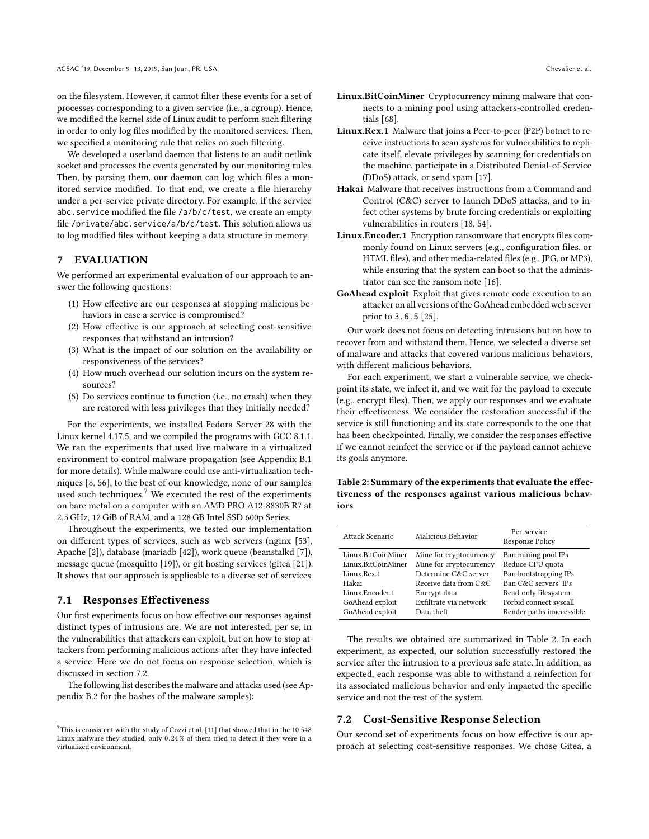on the filesystem. However, it cannot filter these events for a set of processes corresponding to a given service (i.e., a cgroup). Hence, we modified the kernel side of Linux audit to perform such filtering in order to only log files modified by the monitored services. Then, we specified a monitoring rule that relies on such filtering.

We developed a userland daemon that listens to an audit netlink socket and processes the events generated by our monitoring rules. Then, by parsing them, our daemon can log which files a monitored service modified. To that end, we create a file hierarchy under a per-service private directory. For example, if the service abc.service modified the file /a/b/c/test, we create an empty file /private/abc.service/a/b/c/test. This solution allows us to log modified files without keeping a data structure in memory.

## 7 EVALUATION

We performed an experimental evaluation of our approach to answer the following questions:

- (1) How effective are our responses at stopping malicious behaviors in case a service is compromised?
- (2) How effective is our approach at selecting cost-sensitive responses that withstand an intrusion?
- (3) What is the impact of our solution on the availability or responsiveness of the services?
- (4) How much overhead our solution incurs on the system resources?
- (5) Do services continue to function (i.e., no crash) when they are restored with less privileges that they initially needed?

For the experiments, we installed Fedora Server 28 with the Linux kernel 4.17.5, and we compiled the programs with GCC 8.1.1. We ran the experiments that used live malware in a virtualized environment to control malware propagation (see Appendix B.1 for more details). While malware could use anti-virtualization techniques [8, 56], to the best of our knowledge, none of our samples used such techniques.<sup>7</sup> We executed the rest of the experiments on bare metal on a computer with an AMD PRO A12-8830B R7 at <sup>2</sup>.5 GHz, 12 GiB of RAM, and a 128 GB Intel SSD 600p Series.

Throughout the experiments, we tested our implementation on different types of services, such as web servers (nginx [53], Apache [2]), database (mariadb [42]), work queue (beanstalkd [7]), message queue (mosquitto [19]), or git hosting services (gitea [21]). It shows that our approach is applicable to a diverse set of services.

## 7.1 Responses Effectiveness

Our first experiments focus on how effective our responses against distinct types of intrusions are. We are not interested, per se, in the vulnerabilities that attackers can exploit, but on how to stop attackers from performing malicious actions after they have infected a service. Here we do not focus on response selection, which is discussed in section 7.2.

The following list describes the malware and attacks used (see Appendix B.2 for the hashes of the malware samples):

- Linux.BitCoinMiner Cryptocurrency mining malware that connects to a mining pool using attackers-controlled credentials [68].
- Linux.Rex.1 Malware that joins a Peer-to-peer (P2P) botnet to receive instructions to scan systems for vulnerabilities to replicate itself, elevate privileges by scanning for credentials on the machine, participate in a Distributed Denial-of-Service (DDoS) attack, or send spam [17].
- Hakai Malware that receives instructions from a Command and Control (C&C) server to launch DDoS attacks, and to infect other systems by brute forcing credentials or exploiting vulnerabilities in routers [18, 54].
- Linux.Encoder.1 Encryption ransomware that encrypts files commonly found on Linux servers (e.g., configuration files, or HTML files), and other media-related files (e.g., JPG, or MP3), while ensuring that the system can boot so that the administrator can see the ransom note [16].
- GoAhead exploit Exploit that gives remote code execution to an attacker on all versions of the GoAhead embedded web server prior to 3.6.5 [25].

Our work does not focus on detecting intrusions but on how to recover from and withstand them. Hence, we selected a diverse set of malware and attacks that covered various malicious behaviors, with different malicious behaviors.

For each experiment, we start a vulnerable service, we checkpoint its state, we infect it, and we wait for the payload to execute (e.g., encrypt files). Then, we apply our responses and we evaluate their effectiveness. We consider the restoration successful if the service is still functioning and its state corresponds to the one that has been checkpointed. Finally, we consider the responses effective if we cannot reinfect the service or if the payload cannot achieve its goals anymore.

### Table 2: Summary of the experiments that evaluate the effectiveness of the responses against various malicious behaviors

| Malicious Behavior<br>Attack Scenario |                         | Per-service<br><b>Response Policy</b> |  |  |
|---------------------------------------|-------------------------|---------------------------------------|--|--|
| Linux.BitCoinMiner                    | Mine for cryptocurrency | Ban mining pool IPs                   |  |  |
| Linux.BitCoinMiner                    | Mine for cryptocurrency | Reduce CPU quota                      |  |  |
| Linux.Rex.1                           | Determine C&C server    | Ban bootstrapping IPs                 |  |  |
| Hakai                                 | Receive data from C&C   | Ban C&C servers' IPs                  |  |  |
| Linux.Encoder.1                       | Encrypt data            | Read-only filesystem                  |  |  |
| GoAhead exploit                       | Exfiltrate via network  | Forbid connect syscall                |  |  |
| GoAhead exploit                       | Data theft              | Render paths inaccessible             |  |  |

The results we obtained are summarized in Table 2. In each experiment, as expected, our solution successfully restored the service after the intrusion to a previous safe state. In addition, as expected, each response was able to withstand a reinfection for its associated malicious behavior and only impacted the specific service and not the rest of the system.

## 7.2 Cost-Sensitive Response Selection

Our second set of experiments focus on how effective is our approach at selecting cost-sensitive responses. We chose Gitea, a

 ${\rm ^7This}$  is consistent with the study of Cozzi et al. [11] that showed that in the 10 548 Linux malware they studied, only <sup>0</sup>.24 % of them tried to detect if they were in a virtualized environment.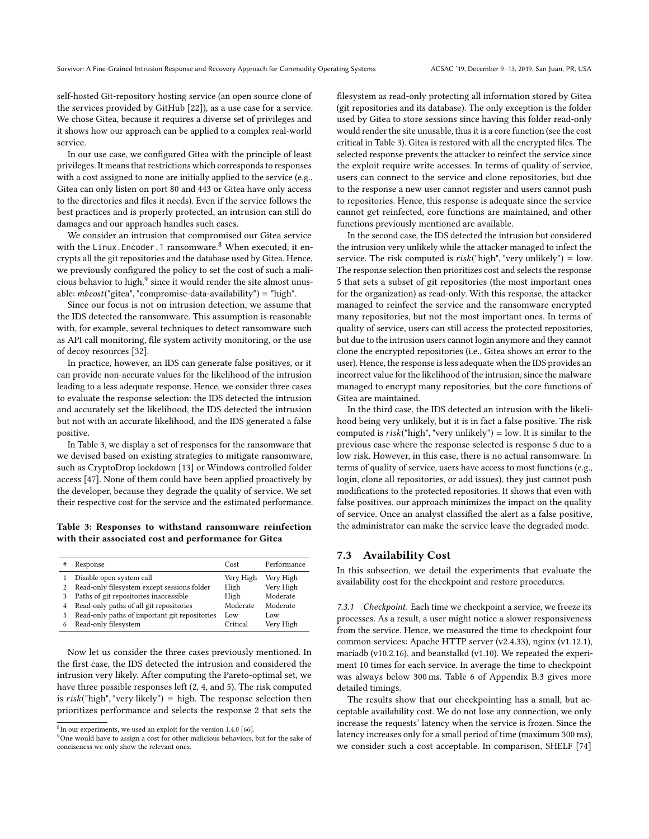self-hosted Git-repository hosting service (an open source clone of the services provided by GitHub [22]), as a use case for a service. We chose Gitea, because it requires a diverse set of privileges and it shows how our approach can be applied to a complex real-world service.

In our use case, we configured Gitea with the principle of least privileges. It means that restrictions which corresponds to responses with a cost assigned to none are initially applied to the service (e.g., Gitea can only listen on port 80 and 443 or Gitea have only access to the directories and files it needs). Even if the service follows the best practices and is properly protected, an intrusion can still do damages and our approach handles such cases.

We consider an intrusion that compromised our Gitea service with the Linux.Encoder.1 ransomware.<sup>8</sup> When executed, it encrypts all the git repositories and the database used by Gitea. Hence, we previously configured the policy to set the cost of such a malicious behavior to high, $^9$  since it would render the site almost unusable:  $mbcost("gitea", "compromise-data-availability") = "high".$ 

Since our focus is not on intrusion detection, we assume that the IDS detected the ransomware. This assumption is reasonable with, for example, several techniques to detect ransomware such as API call monitoring, file system activity monitoring, or the use of decoy resources [32].

In practice, however, an IDS can generate false positives, or it can provide non-accurate values for the likelihood of the intrusion leading to a less adequate response. Hence, we consider three cases to evaluate the response selection: the IDS detected the intrusion and accurately set the likelihood, the IDS detected the intrusion but not with an accurate likelihood, and the IDS generated a false positive.

In Table 3, we display a set of responses for the ransomware that we devised based on existing strategies to mitigate ransomware, such as CryptoDrop lockdown [13] or Windows controlled folder access [47]. None of them could have been applied proactively by the developer, because they degrade the quality of service. We set their respective cost for the service and the estimated performance.

Table 3: Responses to withstand ransomware reinfection with their associated cost and performance for Gitea

|   | Response                                      | Cost      | Performance |
|---|-----------------------------------------------|-----------|-------------|
|   | Disable open system call                      | Very High | Very High   |
| 2 | Read-only filesystem except sessions folder   | High      | Very High   |
| 3 | Paths of git repositories inaccessible        | High      | Moderate    |
| 4 | Read-only paths of all git repositories       | Moderate  | Moderate    |
| 5 | Read-only paths of important git repositories | Low       | Low         |
| 6 | Read-only filesystem                          | Critical  | Very High   |

Now let us consider the three cases previously mentioned. In the first case, the IDS detected the intrusion and considered the intrusion very likely. After computing the Pareto-optimal set, we have three possible responses left (2, 4, and 5). The risk computed is  $risk("high", "very likely") = high. The response selection then$ prioritizes performance and selects the response 2 that sets the filesystem as read-only protecting all information stored by Gitea (git repositories and its database). The only exception is the folder used by Gitea to store sessions since having this folder read-only would render the site unusable, thus it is a core function (see the cost critical in Table 3). Gitea is restored with all the encrypted files. The selected response prevents the attacker to reinfect the service since the exploit require write accesses. In terms of quality of service, users can connect to the service and clone repositories, but due to the response a new user cannot register and users cannot push to repositories. Hence, this response is adequate since the service cannot get reinfected, core functions are maintained, and other functions previously mentioned are available.

In the second case, the IDS detected the intrusion but considered the intrusion very unlikely while the attacker managed to infect the service. The risk computed is  $risk("high", "very unlikely") = low.$ The response selection then prioritizes cost and selects the response 5 that sets a subset of git repositories (the most important ones for the organization) as read-only. With this response, the attacker managed to reinfect the service and the ransomware encrypted many repositories, but not the most important ones. In terms of quality of service, users can still access the protected repositories, but due to the intrusion users cannot login anymore and they cannot clone the encrypted repositories (i.e., Gitea shows an error to the user). Hence, the response is less adequate when the IDS provides an incorrect value for the likelihood of the intrusion, since the malware managed to encrypt many repositories, but the core functions of Gitea are maintained.

In the third case, the IDS detected an intrusion with the likelihood being very unlikely, but it is in fact a false positive. The risk computed is  $risk("high", "very unlikely") = low. It is similar to the$ previous case where the response selected is response 5 due to a low risk. However, in this case, there is no actual ransomware. In terms of quality of service, users have access to most functions (e.g., login, clone all repositories, or add issues), they just cannot push modifications to the protected repositories. It shows that even with false positives, our approach minimizes the impact on the quality of service. Once an analyst classified the alert as a false positive, the administrator can make the service leave the degraded mode.

## 7.3 Availability Cost

In this subsection, we detail the experiments that evaluate the availability cost for the checkpoint and restore procedures.

7.3.1 Checkpoint. Each time we checkpoint a service, we freeze its processes. As a result, a user might notice a slower responsiveness from the service. Hence, we measured the time to checkpoint four common services: Apache HTTP server (v2.4.33), nginx (v1.12.1), mariadb (v10.2.16), and beanstalkd (v1.10). We repeated the experiment 10 times for each service. In average the time to checkpoint was always below 300 ms. Table 6 of Appendix B.3 gives more detailed timings.

The results show that our checkpointing has a small, but acceptable availability cost. We do not lose any connection, we only increase the requests' latency when the service is frozen. Since the latency increases only for a small period of time (maximum 300 ms), we consider such a cost acceptable. In comparison, SHELF [74]

 ${}^{8}$ In our experiments, we used an exploit for the version 1.4.0 [66].

<sup>&</sup>lt;sup>9</sup>One would have to assign a cost for other malicious behaviors, but for the sake of conciseness we only show the relevant ones.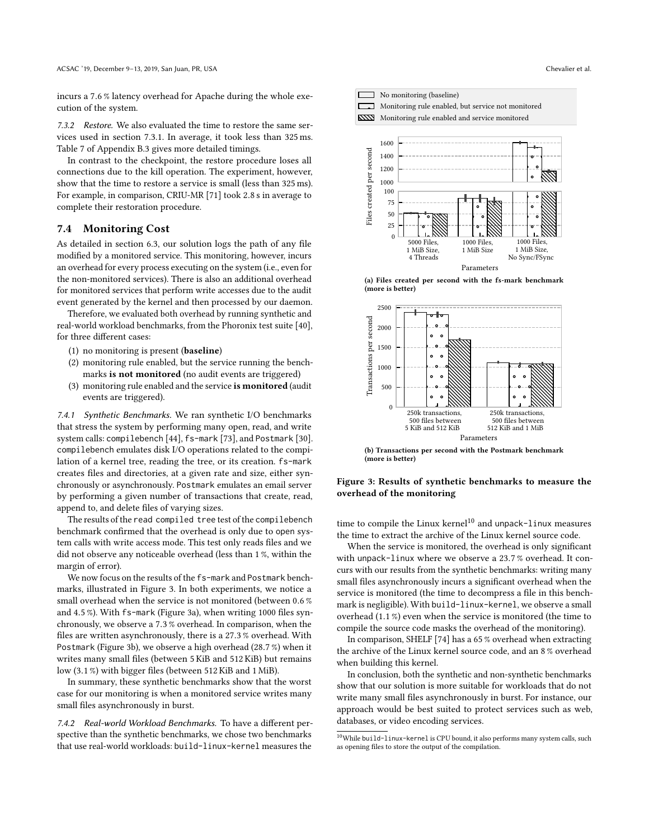incurs a <sup>7</sup>.6 % latency overhead for Apache during the whole execution of the system.

7.3.2 Restore. We also evaluated the time to restore the same services used in section 7.3.1. In average, it took less than 325 ms. Table 7 of Appendix B.3 gives more detailed timings.

In contrast to the checkpoint, the restore procedure loses all connections due to the kill operation. The experiment, however, show that the time to restore a service is small (less than 325 ms). For example, in comparison, CRIU-MR [71] took <sup>2</sup>.8 s in average to complete their restoration procedure.

#### 7.4 Monitoring Cost

As detailed in section 6.3, our solution logs the path of any file modified by a monitored service. This monitoring, however, incurs an overhead for every process executing on the system (i.e., even for the non-monitored services). There is also an additional overhead for monitored services that perform write accesses due to the audit event generated by the kernel and then processed by our daemon.

Therefore, we evaluated both overhead by running synthetic and real-world workload benchmarks, from the Phoronix test suite [40], for three different cases:

- (1) no monitoring is present (baseline)
- (2) monitoring rule enabled, but the service running the benchmarks is not monitored (no audit events are triggered)
- (3) monitoring rule enabled and the service is monitored (audit events are triggered).

7.4.1 Synthetic Benchmarks. We ran synthetic I/O benchmarks that stress the system by performing many open, read, and write system calls: compilebench [44], fs-mark [73], and Postmark [30]. compilebench emulates disk I/O operations related to the compilation of a kernel tree, reading the tree, or its creation. fs-mark creates files and directories, at a given rate and size, either synchronously or asynchronously. Postmark emulates an email server by performing a given number of transactions that create, read, append to, and delete files of varying sizes.

The results of the read compiled tree test of the compilebench benchmark confirmed that the overhead is only due to open system calls with write access mode. This test only reads files and we did not observe any noticeable overhead (less than 1 %, within the margin of error).

We now focus on the results of the fs-mark and Postmark benchmarks, illustrated in Figure 3. In both experiments, we notice a small overhead when the service is not monitored (between <sup>0</sup>.6 % and <sup>4</sup>.5 %). With fs-mark (Figure 3a), when writing 1000 files synchronously, we observe a <sup>7</sup>.3 % overhead. In comparison, when the files are written asynchronously, there is a <sup>27</sup>.3 % overhead. With Postmark (Figure 3b), we observe a high overhead (28.7 %) when it writes many small files (between 5 KiB and 512 KiB) but remains low (3.1 %) with bigger files (between 512 KiB and 1 MiB).

In summary, these synthetic benchmarks show that the worst case for our monitoring is when a monitored service writes many small files asynchronously in burst.

7.4.2 Real-world Workload Benchmarks. To have a different perspective than the synthetic benchmarks, we chose two benchmarks that use real-world workloads: build-linux-kernel measures the



1 MiB Size

Parameters

1 MiB Size, No Sync/FSync

(a) Files created per second with the fs-mark benchmark (more is better)

1 MiB Size, 4 Threads



(b) Transactions per second with the Postmark benchmark (more is better)

#### Figure 3: Results of synthetic benchmarks to measure the overhead of the monitoring

time to compile the Linux kernel<sup>10</sup> and unpack-linux measures the time to extract the archive of the Linux kernel source code.

When the service is monitored, the overhead is only significant with unpack-linux where we observe a <sup>23</sup>.7 % overhead. It concurs with our results from the synthetic benchmarks: writing many small files asynchronously incurs a significant overhead when the service is monitored (the time to decompress a file in this benchmark is negligible). With build-linux-kernel, we observe a small overhead (1.1 %) even when the service is monitored (the time to compile the source code masks the overhead of the monitoring).

In comparison, SHELF [74] has a 65 % overhead when extracting the archive of the Linux kernel source code, and an 8 % overhead when building this kernel.

In conclusion, both the synthetic and non-synthetic benchmarks show that our solution is more suitable for workloads that do not write many small files asynchronously in burst. For instance, our approach would be best suited to protect services such as web, databases, or video encoding services.

 $^{10}\rm{While}$  build-linux-kernel is CPU bound, it also performs many system calls, such as opening files to store the output of the compilation.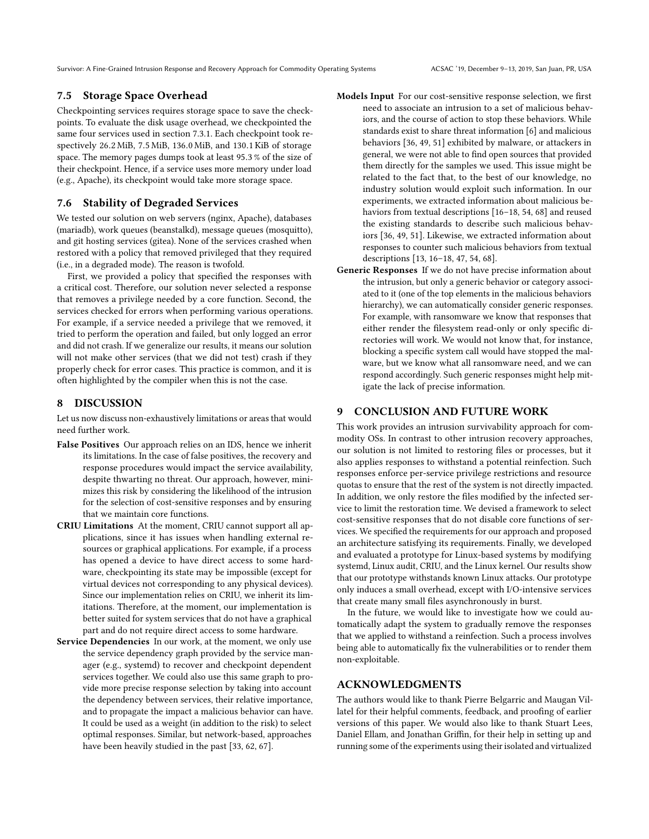Survivor: A Fine-Grained Intrusion Response and Recovery Approach for Commodity Operating Systems ACSAC '19, December 9–13, 2019, San Juan, PR, USA

## 7.5 Storage Space Overhead

Checkpointing services requires storage space to save the checkpoints. To evaluate the disk usage overhead, we checkpointed the same four services used in section 7.3.1. Each checkpoint took respectively <sup>26</sup>.2 MiB, <sup>7</sup>.5 MiB, <sup>136</sup>.0 MiB, and <sup>130</sup>.1 KiB of storage space. The memory pages dumps took at least <sup>95</sup>.3 % of the size of their checkpoint. Hence, if a service uses more memory under load (e.g., Apache), its checkpoint would take more storage space.

## 7.6 Stability of Degraded Services

We tested our solution on web servers (nginx, Apache), databases (mariadb), work queues (beanstalkd), message queues (mosquitto), and git hosting services (gitea). None of the services crashed when restored with a policy that removed privileged that they required (i.e., in a degraded mode). The reason is twofold.

First, we provided a policy that specified the responses with a critical cost. Therefore, our solution never selected a response that removes a privilege needed by a core function. Second, the services checked for errors when performing various operations. For example, if a service needed a privilege that we removed, it tried to perform the operation and failed, but only logged an error and did not crash. If we generalize our results, it means our solution will not make other services (that we did not test) crash if they properly check for error cases. This practice is common, and it is often highlighted by the compiler when this is not the case.

## 8 DISCUSSION

Let us now discuss non-exhaustively limitations or areas that would need further work.

- False Positives Our approach relies on an IDS, hence we inherit its limitations. In the case of false positives, the recovery and response procedures would impact the service availability, despite thwarting no threat. Our approach, however, minimizes this risk by considering the likelihood of the intrusion for the selection of cost-sensitive responses and by ensuring that we maintain core functions.
- CRIU Limitations At the moment, CRIU cannot support all applications, since it has issues when handling external resources or graphical applications. For example, if a process has opened a device to have direct access to some hardware, checkpointing its state may be impossible (except for virtual devices not corresponding to any physical devices). Since our implementation relies on CRIU, we inherit its limitations. Therefore, at the moment, our implementation is better suited for system services that do not have a graphical part and do not require direct access to some hardware.
- Service Dependencies In our work, at the moment, we only use the service dependency graph provided by the service manager (e.g., systemd) to recover and checkpoint dependent services together. We could also use this same graph to provide more precise response selection by taking into account the dependency between services, their relative importance, and to propagate the impact a malicious behavior can have. It could be used as a weight (in addition to the risk) to select optimal responses. Similar, but network-based, approaches have been heavily studied in the past [33, 62, 67].
- Models Input For our cost-sensitive response selection, we first need to associate an intrusion to a set of malicious behaviors, and the course of action to stop these behaviors. While standards exist to share threat information [6] and malicious behaviors [36, 49, 51] exhibited by malware, or attackers in general, we were not able to find open sources that provided them directly for the samples we used. This issue might be related to the fact that, to the best of our knowledge, no industry solution would exploit such information. In our experiments, we extracted information about malicious behaviors from textual descriptions [16–18, 54, 68] and reused the existing standards to describe such malicious behaviors [36, 49, 51]. Likewise, we extracted information about responses to counter such malicious behaviors from textual descriptions [13, 16–18, 47, 54, 68].
- Generic Responses If we do not have precise information about the intrusion, but only a generic behavior or category associated to it (one of the top elements in the malicious behaviors hierarchy), we can automatically consider generic responses. For example, with ransomware we know that responses that either render the filesystem read-only or only specific directories will work. We would not know that, for instance, blocking a specific system call would have stopped the malware, but we know what all ransomware need, and we can respond accordingly. Such generic responses might help mitigate the lack of precise information.

## 9 CONCLUSION AND FUTURE WORK

This work provides an intrusion survivability approach for commodity OSs. In contrast to other intrusion recovery approaches, our solution is not limited to restoring files or processes, but it also applies responses to withstand a potential reinfection. Such responses enforce per-service privilege restrictions and resource quotas to ensure that the rest of the system is not directly impacted. In addition, we only restore the files modified by the infected service to limit the restoration time. We devised a framework to select cost-sensitive responses that do not disable core functions of services. We specified the requirements for our approach and proposed an architecture satisfying its requirements. Finally, we developed and evaluated a prototype for Linux-based systems by modifying systemd, Linux audit, CRIU, and the Linux kernel. Our results show that our prototype withstands known Linux attacks. Our prototype only induces a small overhead, except with I/O-intensive services that create many small files asynchronously in burst.

In the future, we would like to investigate how we could automatically adapt the system to gradually remove the responses that we applied to withstand a reinfection. Such a process involves being able to automatically fix the vulnerabilities or to render them non-exploitable.

### ACKNOWLEDGMENTS

The authors would like to thank Pierre Belgarric and Maugan Villatel for their helpful comments, feedback, and proofing of earlier versions of this paper. We would also like to thank Stuart Lees, Daniel Ellam, and Jonathan Griffin, for their help in setting up and running some of the experiments using their isolated and virtualized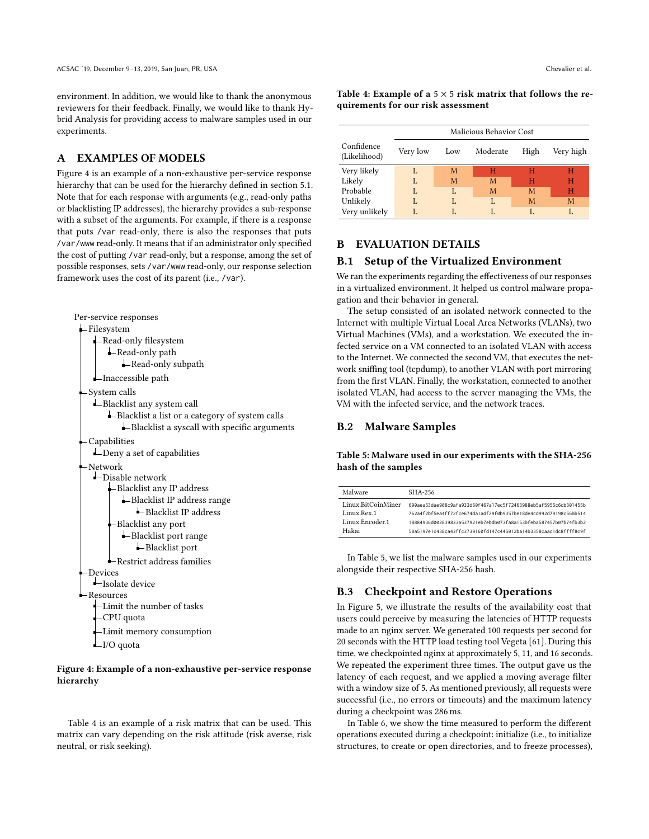environment. In addition, we would like to thank the anonymous reviewers for their feedback. Finally, we would like to thank Hybrid Analysis for providing access to malware samples used in our experiments.

## A EXAMPLES OF MODELS

Figure 4 is an example of a non-exhaustive per-service response hierarchy that can be used for the hierarchy defined in section 5.1. Note that for each response with arguments (e.g., read-only paths or blacklisting IP addresses), the hierarchy provides a sub-response with a subset of the arguments. For example, if there is a response that puts /var read-only, there is also the responses that puts /var/www read-only. It means that if an administrator only specified the cost of putting /var read-only, but a response, among the set of possible responses, sets /var/www read-only, our response selection framework uses the cost of its parent (i.e., /var).



#### Figure 4: Example of a non-exhaustive per-service response hierarchy

Table 4 is an example of a risk matrix that can be used. This matrix can vary depending on the risk attitude (risk averse, risk neutral, or risk seeking).

Table 4: Example of a  $5 \times 5$  risk matrix that follows the requirements for our risk assessment

|                            | Malicious Behavior Cost |     |          |      |           |  |
|----------------------------|-------------------------|-----|----------|------|-----------|--|
| Confidence<br>(Likelihood) | Very low                | Low | Moderate | High | Very high |  |
| Very likely                | L                       | M   | н        | н    | н         |  |
| Likely                     | L                       | M   | M        | н    | н         |  |
| Probable                   | L                       | L   | M        | M    | н         |  |
| Unlikely                   | L                       | L   | L        | M    | M         |  |
| Very unlikely              | L                       | L   |          |      | L         |  |

## B EVALUATION DETAILS

## B.1 Setup of the Virtualized Environment

We ran the experiments regarding the effectiveness of our responses in a virtualized environment. It helped us control malware propagation and their behavior in general.

The setup consisted of an isolated network connected to the Internet with multiple Virtual Local Area Networks (VLANs), two Virtual Machines (VMs), and a workstation. We executed the infected service on a VM connected to an isolated VLAN with access to the Internet. We connected the second VM, that executes the network sniffing tool (tcpdump), to another VLAN with port mirroring from the first VLAN. Finally, the workstation, connected to another isolated VLAN, had access to the server managing the VMs, the VM with the infected service, and the network traces.

## B.2 Malware Samples

Table 5: Malware used in our experiments with the SHA-256 hash of the samples

| Malware            | SHA-256                                                          |
|--------------------|------------------------------------------------------------------|
| Linux.BitCoinMiner | 690aea53dae908c9afa933d60f467a17ec5f72463988eb5af5956c6cb301455b |
| Linux Rex 1        | 762a4f2bf5ea4ff72fce674da1adf29f0b9357be18de4cd992d79198c56bb514 |
| Linux Encoder 1    | 18884936d002839833a537921eb7ebdb073fa8a153bfeba587457b07b74fb3b2 |
| Hakai              | 58a5197e1c438ca43ffc3739160fd147c445012ba14b3358caac1dc8ffff8c9f |

In Table 5, we list the malware samples used in our experiments alongside their respective SHA-256 hash.

### B.3 Checkpoint and Restore Operations

In Figure 5, we illustrate the results of the availability cost that users could perceive by measuring the latencies of HTTP requests made to an nginx server. We generated 100 requests per second for 20 seconds with the HTTP load testing tool Vegeta [61]. During this time, we checkpointed nginx at approximately 5, 11, and 16 seconds. We repeated the experiment three times. The output gave us the latency of each request, and we applied a moving average filter with a window size of 5. As mentioned previously, all requests were successful (i.e., no errors or timeouts) and the maximum latency during a checkpoint was 286 ms.

In Table 6, we show the time measured to perform the different operations executed during a checkpoint: initialize (i.e., to initialize structures, to create or open directories, and to freeze processes),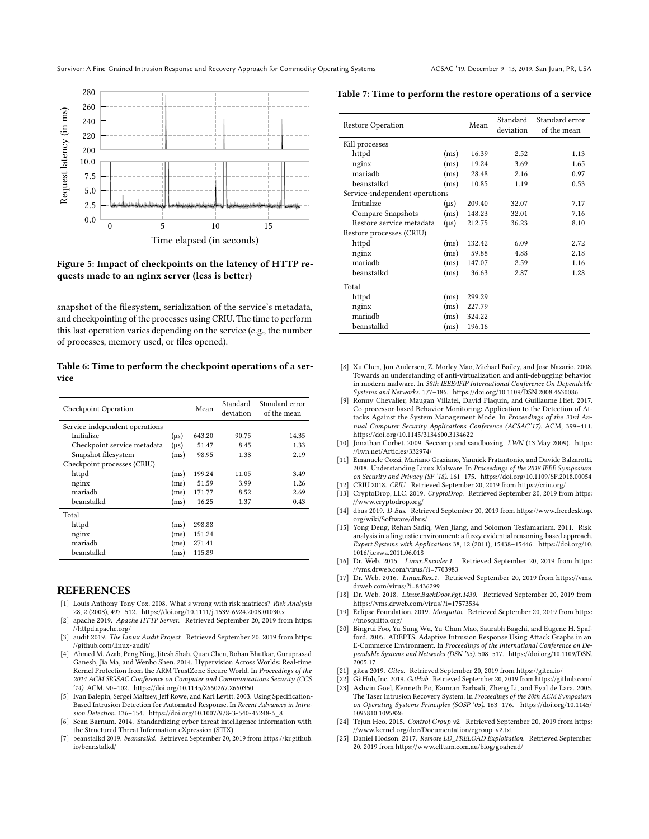

#### Figure 5: Impact of checkpoints on the latency of HTTP requests made to an nginx server (less is better)

snapshot of the filesystem, serialization of the service's metadata, and checkpointing of the processes using CRIU. The time to perform this last operation varies depending on the service (e.g., the number of processes, memory used, or files opened).

Table 6: Time to perform the checkpoint operations of a service

| <b>Checkpoint Operation</b>    |           | Mean   | Standard<br>deviation | Standard error<br>of the mean |
|--------------------------------|-----------|--------|-----------------------|-------------------------------|
| Service-independent operations |           |        |                       |                               |
| Initialize                     | $(\mu s)$ | 643.20 | 90.75                 | 14.35                         |
| Checkpoint service metadata    | $(\mu s)$ | 51.47  | 8.45                  | 1.33                          |
| Snapshot filesystem            | (ms)      | 98.95  | 1.38                  | 2.19                          |
| Checkpoint processes (CRIU)    |           |        |                       |                               |
| httpd                          | (ms)      | 199.24 | 11.05                 | 3.49                          |
| nginx                          | (ms)      | 51.59  | 3.99                  | 1.26                          |
| mariadh                        | (ms)      | 171.77 | 8.52                  | 2.69                          |
| beanstalkd                     | (ms)      | 16.25  | 1.37                  | 0.43                          |
| Total                          |           |        |                       |                               |
| httpd                          | (ms)      | 298.88 |                       |                               |
| nginx                          | (ms)      | 151.24 |                       |                               |
| mariadh                        | (ms)      | 271.41 |                       |                               |
| beanstalkd                     | (ms)      | 115.89 |                       |                               |

#### **REFERENCES**

- [1] Louis Anthony Tony Cox. 2008. What's wrong with risk matrices? Risk Analysis 28, 2 (2008), 497–512.<https://doi.org/10.1111/j.1539-6924.2008.01030.x>
- [2] apache 2019. Apache HTTP Server. Retrieved September 20, 2019 from [https:](https://httpd.apache.org/) [//httpd.apache.org/](https://httpd.apache.org/)
- [3] audit 2019. The Linux Audit Project. Retrieved September 20, 2019 from [https:](https://github.com/linux-audit/) [//github.com/linux-audit/](https://github.com/linux-audit/)
- [4] Ahmed M. Azab, Peng Ning, Jitesh Shah, Quan Chen, Rohan Bhutkar, Guruprasad Ganesh, Jia Ma, and Wenbo Shen. 2014. Hypervision Across Worlds: Real-time Kernel Protection from the ARM TrustZone Secure World. In Proceedings of the 2014 ACM SIGSAC Conference on Computer and Communications Security (CCS '14). ACM, 90–102.<https://doi.org/10.1145/2660267.2660350>
- [5] Ivan Balepin, Sergei Maltsev, Jeff Rowe, and Karl Levitt. 2003. Using Specification-Based Intrusion Detection for Automated Response. In Recent Advances in Intrusion Detection. 136–154. [https://doi.org/10.1007/978-3-540-45248-5\\_8](https://doi.org/10.1007/978-3-540-45248-5_8)
- [6] Sean Barnum. 2014. Standardizing cyber threat intelligence information with the Structured Threat Information eXpression (STIX).
- [7] beanstalkd 2019. beanstalkd. Retrieved September 20, 2019 from [https://kr.github.](https://kr.github.io/beanstalkd/) [io/beanstalkd/](https://kr.github.io/beanstalkd/)

Table 7: Time to perform the restore operations of a service

| <b>Restore Operation</b>       |           | Mean   | Standard<br>deviation | Standard error<br>of the mean |
|--------------------------------|-----------|--------|-----------------------|-------------------------------|
| Kill processes                 |           |        |                       |                               |
| httpd                          | (ms)      | 16.39  | 2.52                  | 1.13                          |
| nginx                          | (ms)      | 19.24  | 3.69                  | 1.65                          |
| mariadh                        | (ms)      | 28.48  | 2.16                  | 0.97                          |
| heanstalkd                     | (ms)      | 10.85  | 1.19                  | 0.53                          |
| Service-independent operations |           |        |                       |                               |
| Initialize                     | $(\mu s)$ | 209.40 | 32.07                 | 7.17                          |
| Compare Snapshots              | (ms)      | 148.23 | 32.01                 | 7.16                          |
| Restore service metadata       | $(\mu s)$ | 212.75 | 36.23                 | 8.10                          |
| Restore processes (CRIU)       |           |        |                       |                               |
| httpd                          | (ms)      | 132.42 | 6.09                  | 2.72                          |
| nginx                          | (ms)      | 59.88  | 4.88                  | 2.18                          |
| mariadh                        | (ms)      | 147.07 | 2.59                  | 1.16                          |
| beanstalkd                     | (ms)      | 36.63  | 2.87                  | 1.28                          |
| Total                          |           |        |                       |                               |
| httpd                          | (ms)      | 299.29 |                       |                               |
| nginx                          | (ms)      | 227.79 |                       |                               |
| mariadh                        | (ms)      | 324.22 |                       |                               |
| beanstalkd                     | (ms)      | 196.16 |                       |                               |

- [8] Xu Chen, Jon Andersen, Z. Morley Mao, Michael Bailey, and Jose Nazario. 2008. Towards an understanding of anti-virtualization and anti-debugging behavior in modern malware. In 38th IEEE/IFIP International Conference On Dependable Systems and Networks. 177–186.<https://doi.org/10.1109/DSN.2008.4630086>
- [9] Ronny Chevalier, Maugan Villatel, David Plaquin, and Guillaume Hiet. 2017. Co-processor-based Behavior Monitoring: Application to the Detection of Attacks Against the System Management Mode. In Proceedings of the 33rd Annual Computer Security Applications Conference (ACSAC'17). ACM, 399–411. <https://doi.org/10.1145/3134600.3134622>
- [10] Jonathan Corbet. 2009. Seccomp and sandboxing. LWN (13 May 2009). [https:](https://lwn.net/Articles/332974/) [//lwn.net/Articles/332974/](https://lwn.net/Articles/332974/)
- [11] Emanuele Cozzi, Mariano Graziano, Yannick Fratantonio, and Davide Balzarotti. 2018. Understanding Linux Malware. In Proceedings of the 2018 IEEE Symposium on Security and Privacy (SP '18). 161–175.<https://doi.org/10.1109/SP.2018.00054>
- [12] CRIU 2018. CRIU. Retrieved September 20, 2019 from<https://criu.org/>
- [13] CryptoDrop, LLC. 2019. CryptoDrop. Retrieved September 20, 2019 from [https:](https://www.cryptodrop.org/) [//www.cryptodrop.org/](https://www.cryptodrop.org/)
- [14] dbus 2019. D-Bus. Retrieved September 20, 2019 from [https://www.freedesktop.](https://www.freedesktop.org/wiki/Software/dbus/) [org/wiki/Software/dbus/](https://www.freedesktop.org/wiki/Software/dbus/)
- [15] Yong Deng, Rehan Sadiq, Wen Jiang, and Solomon Tesfamariam. 2011. Risk analysis in a linguistic environment: a fuzzy evidential reasoning-based approach. Expert Systems with Applications 38, 12 (2011), 15438–15446. [https://doi.org/10.](https://doi.org/10.1016/j.eswa.2011.06.018) [1016/j.eswa.2011.06.018](https://doi.org/10.1016/j.eswa.2011.06.018)
- [16] Dr. Web. 2015. Linux.Encoder.1. Retrieved September 20, 2019 from [https:](https://vms.drweb.com/virus/?i=7703983) [//vms.drweb.com/virus/?i=7703983](https://vms.drweb.com/virus/?i=7703983)
- [17] Dr. Web. 2016. Linux.Rex.1. Retrieved September 20, 2019 from [https://vms.](https://vms.drweb.com/virus/?i=8436299) [drweb.com/virus/?i=8436299](https://vms.drweb.com/virus/?i=8436299)
- [18] Dr. Web. 2018. Linux.BackDoor.Fgt.1430. Retrieved September 20, 2019 from <https://vms.drweb.com/virus/?i=17573534>
- [19] Eclipse Foundation. 2019. Mosquitto. Retrieved September 20, 2019 from [https:](https://mosquitto.org/) [//mosquitto.org/](https://mosquitto.org/)
- [20] Bingrui Foo, Yu-Sung Wu, Yu-Chun Mao, Saurabh Bagchi, and Eugene H. Spafford. 2005. ADEPTS: Adaptive Intrusion Response Using Attack Graphs in an E-Commerce Environment. In Proceedings of the International Conference on Dependable Systems and Networks (DSN '05). 508–517. [https://doi.org/10.1109/DSN.](https://doi.org/10.1109/DSN.2005.17) [2005.17](https://doi.org/10.1109/DSN.2005.17)
- [21] gitea 2019. Gitea. Retrieved September 20, 2019 from<https://gitea.io/>
- [22] GitHub, Inc. 2019. GitHub. Retrieved September 20, 2019 from<https://github.com/> [23] Ashvin Goel, Kenneth Po, Kamran Farhadi, Zheng Li, and Eyal de Lara. 2005. The Taser Intrusion Recovery System. In Proceedings of the 20th ACM Symposium
- on Operating Systems Principles (SOSP '05). 163–176. [https://doi.org/10.1145/](https://doi.org/10.1145/1095810.1095826) [1095810.1095826](https://doi.org/10.1145/1095810.1095826) [24] Tejun Heo. 2015. Control Group v2. Retrieved September 20, 2019 from [https:](https://www.kernel.org/doc/Documentation/cgroup-v2.txt)
- [//www.kernel.org/doc/Documentation/cgroup-v2.txt](https://www.kernel.org/doc/Documentation/cgroup-v2.txt)
- [25] Daniel Hodson. 2017. Remote LD\_PRELOAD Exploitation. Retrieved September 20, 2019 from<https://www.elttam.com.au/blog/goahead/>